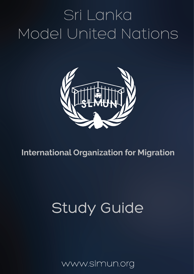# Sri Lanka Model United Nations



# **International Organization for Migration**

# **Study Guide**

www.slmun.org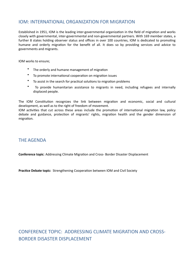### IOM: INTERNATIONAL ORGANIZATION FOR MIGRATION

Established in 1951, IOM is the leading inter-governmental organization in the field of migration and works closely with governmental, inter-governmental and non-governmental partners. With 169 member states, a further 8 states holding observer status and offices in over 100 countries, IOM is dedicated to promoting humane and orderly migration for the benefit of all. It does so by providing services and advice to governments and migrants.

IOM works to ensure;

- The orderly and humane management of migration
- To promote international cooperation on migration issues
- To assist in the search for practical solutions to migration problems
- To provide humanitarian assistance to migrants in need, including refugees and internally displaced people.

The IOM Constitution recognizes the link between migration and economic, social and cultural development, as well as to the right of freedom of movement.

IOM activities that cut across these areas include the promotion of international migration law, policy debate and guidance, protection of migrants' rights, migration health and the gender dimension of migration.

#### THE AGENDA

**Conference topic:** Addressing Climate Migration and Cross- Border Disaster Displacement

**Practice Debate topic:** Strengthening Cooperation between IOM and Civil Society

## CONFERENCE TOPIC: ADDRESSING CLIMATE MIGRATION AND CROSS-BORDER DISASTER DISPLACEMENT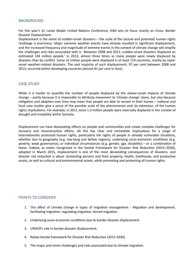#### BACKGROUND

For this year's Sri Lanka Model United Nations Conference, IOM sets its focus mainly on Cross- Border Disaster Displacement.

Displacement is the event of sudden-onset disasters  $-$  the scale of the (actual and potential) human rights challenge is enormous. Major extreme weather events have already resulted in significant displacement, and the increased frequency and magnitude of extreme events in the context of climate change will amplify the challenges and risks associated with it. 'Between 2008 and 2012, sudden-onset disasters displaced an estimated 144 million people.' In 2013, almost three times as many people were newly displaced by disasters than by conflict. Some 22 million people were displaced in at least 119 countries, mostly by rapidonset weather-related disasters. The vast majority of such displacement, 97 per cent between 2008 and 2013, occurred within developing countries (almost 81 per cent in Asia).

#### **CASE STUDY**

While it is harder to quantify the number of people displaced by the slower-onset impacts of climate change – partly because it is impossible to attribute movement to 'climate change' alone, but also because mitigation and adaption over time may mean that people are able to remain in their homes – national and local case studies give a sense of the possible scale of the phenomenon and, by extension, of the human rights implications. For example, in 2011 some 1.3 million people were internally displaced in the context of drought and instability within Somalia.

Displacement can have devastating effects on people and communities and create complex challenges for recovery and reconstruction efforts. All this has clear and immediate implications for a range of internationally protected human rights, particularly the rights of people in already vulnerable situations, whether due to geography (e.g. low-lying and deltaic regions), underlying socio-economic conditions (e.g. poverty, weak governance), or individual circumstances (e.g. gender, age, disability) – or a combination of these. Indeed, as states recognised in the Sendai Framework for Disaster Risk Reduction (2015–2030), adopted in March 2015, displacement is one of the most devastating consequences of disasters, and disaster risk reduction is about 'protecting persons and their property, health, livelihoods, and productive assets, as well as cultural and environmental assets, while promoting and protecting all human rights.

#### POINTS TO CONSIDER

- 1. The affect of climate change in types of migration management Migration and development, facilitating migration, regulating migration, forced migration.
- 2. Underlying socio-economic conditions due to border-disaster displacement
- 3. UNHCR's role in border-disaster displacement.
- 4. Relate Sendai framework for Disaster Risk Reduction (2015-2030)
- 5. The major and minor challenges and risks associated due to climate migration.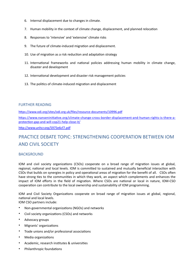- 6. Internal displacement due to changes in climate.
- 7. Human mobility in the context of climate change, displacement, and planned relocation
- 8. Responses to 'intensive' and 'extensive' climate risks
- 9. The future of climate-induced migration and displacement.
- 10. Use of migration as a risk reduction and adaptation strategy
- 11. International frameworks and national policies addressing human mobility in climate change, disaster and development
- 12. International development and disaster risk management policies
- 13. The politics of climate-induced migration and displacement

#### **FURTHER READING**

https://www.odi.org/sites/odi.org.uk/files/resource-documents/10996.pdf

https://www.nanseninitiative.org/climate-change-cross-border-displacement-and-human-rights-is-there-aprotection-gap-and-will-cop21-help-close-it/

http://www.unhcr.org/5975e6cf7.pdf

### PRACTICE DEBATE TOPIC: STRENGTHENING COOPERATION BETWEEN IOM **AND CIVIL SOCIETY**

#### **BACKGROUND**

IOM and civil society organizations (CSOs) cooperate on a broad range of migration issues at global, regional, national and local levels. IOM is committed to sustained and mutually beneficial interaction with CSOs that builds on synergies in policy and operational areas of migration for the benefit of all. CSOs often have strong ties to the communities in which they work, an aspect which complements and enhances the impact of IOM efforts in the field of migration. Where CSOs are national or local in nature, IOM-CSO cooperation can contribute to the local ownership and sustainability of IOM programming.

IOM and Civil Society Organizations cooperate on broad range of migration issues at global, regional, national and local levels.

IOM CSO partners include:

- Non-governmental organizations (NGOs) and networks
- Civil society organizations (CSOs) and networks
- Advocacy groups
- Migrants' organizations
- Trade unions and/or professional associations
- Media organizations
- Academic, research institutes & universities
- Philanthropic foundations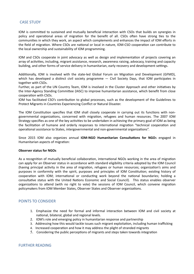#### **CASE STUDY**

IOM is committed to sustained and mutually beneficial interaction with CSOs that builds on synergies in policy and operational areas of migration for the benefit of all. CSOs often have strong ties to the communities in which they work, an aspect which complements and enhances the impact of IOM efforts in the field of migration. Where CSOs are national or local in nature, IOM-CSO cooperation can contribute to the local ownership and sustainability of IOM programming.

IOM and CSOs cooperate in joint advocacy as well as design and implementation of projects covering an array of activities, including, migrant assistance, research, awareness raising, advocacy, training and capacity building, and other forms of service delivery in humanitarian, early recovery and development settings.

Additionally, IOM is involved with the state-led Global Forum on Migration and Development (GFMD), which has developed a distinct civil society programme  $-$  Civil Society Days, that IOM participates in together with CSOs.

Further, as part of the UN Country Team, IOM is involved in the Cluster Approach and other initiatives by the Inter-Agency Standing Committee (IASC) to improve humanitarian assistance, which benefit from close cooperation with CSOs.

IOM has facilitated CSO's contribution to global processes, such as the development of the Guidelines to Protect Migrants in Countries Experiencing Conflict or Natural Disaster.

The IOM Constitution specifies that IOM shall closely cooperate in carrying out its functions with nongovernmental organizations, concerned with migration, refugees and human resources. The 2007 IOM Strategy specifies as one of the key activities to be undertaken in achieving the primary goal of IOM as being the facilitation of humane and orderly responses to international migration "technical cooperation and operational assistance to States, intergovernmental and non-governmental organizations".

Since 2015 IOM also organizes annual **IOM-NGO Humanitarian Consultations for NGO**s engaged in Humanitarian aspects of migration:

#### **Observer status for NGOs**

As a recognition of mutually beneficial collaboration, international NGOs working in the area of migration can apply for an Observer status in accordance with standard eligibility criteria adopted by the IOM Council (having principal activity in the area of migration, refugees or human resources; organization's aims and purposes in conformity with the spirit, purposes and principles of IOM Constitution; existing history of cooperation with IOM; international or conducting work beyond the national boundaries; holding a consultative status with the United Nations Economic and Social Council). This status enables observer organizations to attend (with no right to vote) the sessions of IOM Council, which convene migration policymakers from IOM Member States, Observer States and Observer organizations.

#### POINTS TO CONSIDER

- 1. Emphasize the need for formal and informal interaction between IOM and civil society at national, bilateral, global and regional levels.
- 2. IOM's role and emerging policy in humanitarian response and partnership
- 3. Addressing how this would tackle issues such migrant exploitation, including human trafficking
- 4. Increased cooperation and how it may address the plight of stranded migrants
- 5. Considering the public perceptions of migrants and steps taken towards integration

#### FURTHER READING